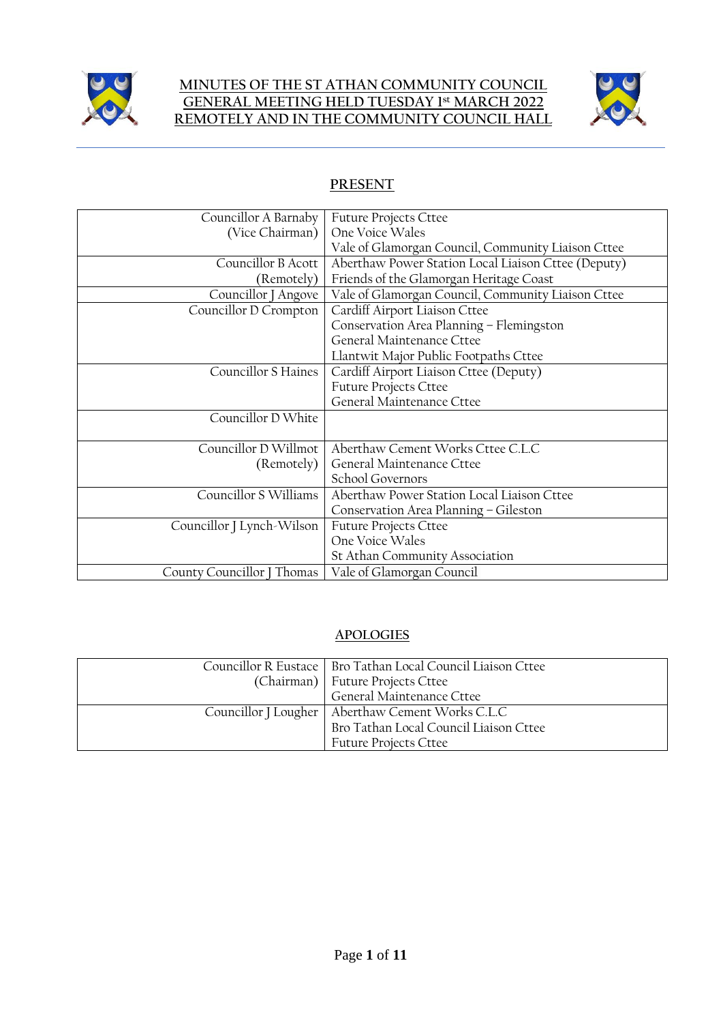

### **MINUTES OF THE ST ATHAN COMMUNITY COUNCIL GENERAL MEETING HELD TUESDAY 1 st MARCH 2022 REMOTELY AND IN THE COMMUNITY COUNCIL HALL**



# **PRESENT**

| Councillor A Barnaby                                      | <b>Future Projects Cttee</b>                        |
|-----------------------------------------------------------|-----------------------------------------------------|
| (Vice Chairman)                                           | One Voice Wales                                     |
|                                                           | Vale of Glamorgan Council, Community Liaison Cttee  |
| Councillor B Acott                                        | Aberthaw Power Station Local Liaison Cttee (Deputy) |
| (Remotely)                                                | Friends of the Glamorgan Heritage Coast             |
| Councillor J Angove                                       | Vale of Glamorgan Council, Community Liaison Cttee  |
| Councillor D Crompton                                     | Cardiff Airport Liaison Cttee                       |
|                                                           | Conservation Area Planning - Flemingston            |
|                                                           | General Maintenance Cttee                           |
|                                                           | Llantwit Major Public Footpaths Cttee               |
| <b>Councillor S Haines</b>                                | Cardiff Airport Liaison Cttee (Deputy)              |
|                                                           | <b>Future Projects Cttee</b>                        |
|                                                           | General Maintenance Cttee                           |
| Councillor D White                                        |                                                     |
|                                                           |                                                     |
| Councillor D Willmot                                      | Aberthaw Cement Works Cttee C.L.C                   |
| (Remotely)                                                | General Maintenance Cttee                           |
|                                                           | School Governors                                    |
| Councillor S Williams                                     | Aberthaw Power Station Local Liaison Cttee          |
|                                                           | Conservation Area Planning - Gileston               |
| Councillor J Lynch-Wilson<br><b>Future Projects Cttee</b> |                                                     |
|                                                           | One Voice Wales                                     |
|                                                           | St Athan Community Association                      |
| County Councillor J Thomas                                | Vale of Glamorgan Council                           |

## **APOLOGIES**

| Councillor R Eustace   Bro Tathan Local Council Liaison Cttee |
|---------------------------------------------------------------|
| (Chairman)   Future Projects Cttee                            |
| General Maintenance Cttee                                     |
| Councillor J Lougher   Aberthaw Cement Works C.L.C            |
| Bro Tathan Local Council Liaison Cttee                        |
| <b>Future Projects Cttee</b>                                  |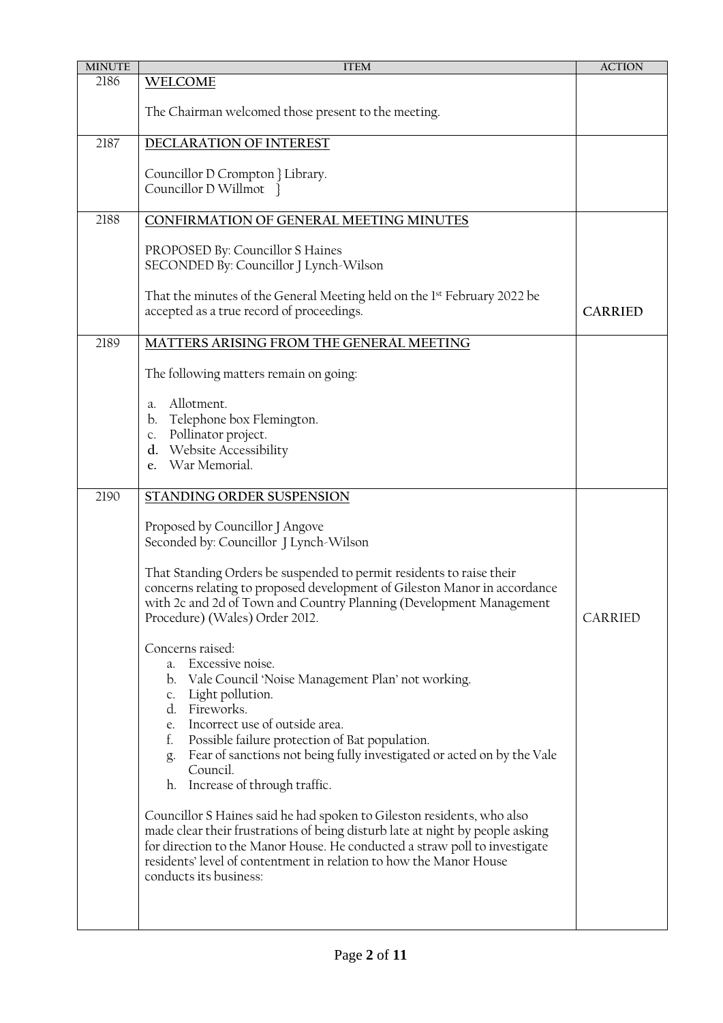| <b>MINUTE</b> | <b>ITEM</b>                                                                                                                                                                                                                                                                                                                                                               | <b>ACTION</b>  |
|---------------|---------------------------------------------------------------------------------------------------------------------------------------------------------------------------------------------------------------------------------------------------------------------------------------------------------------------------------------------------------------------------|----------------|
| 2186          | <b>WELCOME</b>                                                                                                                                                                                                                                                                                                                                                            |                |
|               | The Chairman welcomed those present to the meeting.                                                                                                                                                                                                                                                                                                                       |                |
| 2187          | DECLARATION OF INTEREST                                                                                                                                                                                                                                                                                                                                                   |                |
|               | Councillor D Crompton } Library.<br>Councillor D Willmot }                                                                                                                                                                                                                                                                                                                |                |
| 2188          | CONFIRMATION OF GENERAL MEETING MINUTES                                                                                                                                                                                                                                                                                                                                   |                |
|               | PROPOSED By: Councillor S Haines<br>SECONDED By: Councillor J Lynch-Wilson                                                                                                                                                                                                                                                                                                |                |
|               | That the minutes of the General Meeting held on the 1 <sup>st</sup> February 2022 be<br>accepted as a true record of proceedings.                                                                                                                                                                                                                                         | <b>CARRIED</b> |
| 2189          | MATTERS ARISING FROM THE GENERAL MEETING                                                                                                                                                                                                                                                                                                                                  |                |
|               | The following matters remain on going:                                                                                                                                                                                                                                                                                                                                    |                |
|               | Allotment.<br>a.<br>Telephone box Flemington.<br>b.<br>c. Pollinator project.<br>d. Website Accessibility<br>War Memorial.<br>e.                                                                                                                                                                                                                                          |                |
| 2190          | STANDING ORDER SUSPENSION                                                                                                                                                                                                                                                                                                                                                 |                |
|               | Proposed by Councillor J Angove<br>Seconded by: Councillor J Lynch-Wilson                                                                                                                                                                                                                                                                                                 |                |
|               | That Standing Orders be suspended to permit residents to raise their<br>concerns relating to proposed development of Gileston Manor in accordance<br>with 2c and 2d of Town and Country Planning (Development Management<br>Procedure) (Wales) Order 2012.                                                                                                                | CARRIED        |
|               | Concerns raised:<br>a. Excessive noise.<br>b. Vale Council 'Noise Management Plan' not working.<br>Light pollution.<br>c.<br>d. Fireworks.<br>Incorrect use of outside area.<br>e.<br>Possible failure protection of Bat population.<br>t.<br>Fear of sanctions not being fully investigated or acted on by the Vale<br>g.<br>Council.<br>h. Increase of through traffic. |                |
|               | Councillor S Haines said he had spoken to Gileston residents, who also<br>made clear their frustrations of being disturb late at night by people asking<br>for direction to the Manor House. He conducted a straw poll to investigate<br>residents' level of contentment in relation to how the Manor House<br>conducts its business:                                     |                |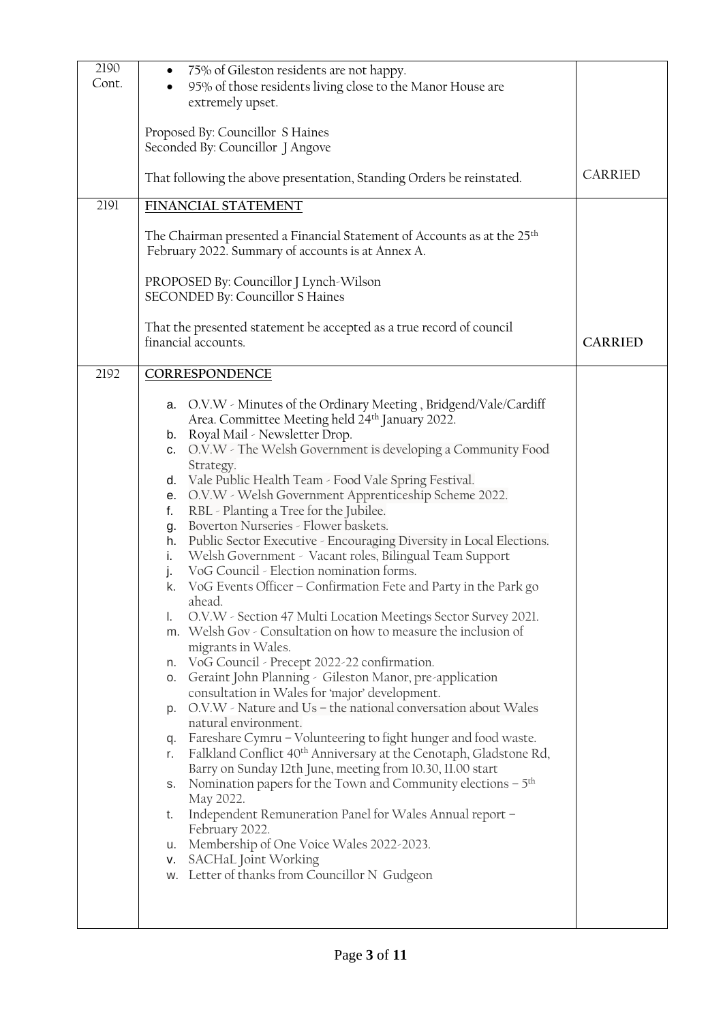| 2190<br>Cont. |          | 75% of Gileston residents are not happy.<br>95% of those residents living close to the Manor House are<br>extremely upset.               |                |
|---------------|----------|------------------------------------------------------------------------------------------------------------------------------------------|----------------|
|               |          | Proposed By: Councillor S Haines<br>Seconded By: Councillor J Angove                                                                     |                |
|               |          | That following the above presentation, Standing Orders be reinstated.                                                                    | CARRIED        |
| 2191          |          | FINANCIAL STATEMENT                                                                                                                      |                |
|               |          | The Chairman presented a Financial Statement of Accounts as at the 25 <sup>th</sup><br>February 2022. Summary of accounts is at Annex A. |                |
|               |          | PROPOSED By: Councillor J Lynch-Wilson<br>SECONDED By: Councillor S Haines                                                               |                |
|               |          | That the presented statement be accepted as a true record of council<br>financial accounts.                                              | <b>CARRIED</b> |
| 2192          |          | CORRESPONDENCE                                                                                                                           |                |
|               |          | a. O.V.W - Minutes of the Ordinary Meeting, Bridgend/Vale/Cardiff                                                                        |                |
|               |          | Area. Committee Meeting held 24th January 2022.                                                                                          |                |
|               |          | b. Royal Mail - Newsletter Drop.                                                                                                         |                |
|               | c.       | O.V.W - The Welsh Government is developing a Community Food<br>Strategy.                                                                 |                |
|               | d.       | Vale Public Health Team - Food Vale Spring Festival.                                                                                     |                |
|               | е.       | O.V.W - Welsh Government Apprenticeship Scheme 2022.                                                                                     |                |
|               | f.       | RBL - Planting a Tree for the Jubilee.                                                                                                   |                |
|               | g.       | Boverton Nurseries - Flower baskets.                                                                                                     |                |
|               | h.       | Public Sector Executive - Encouraging Diversity in Local Elections.                                                                      |                |
|               | i.       | Welsh Government - Vacant roles, Bilingual Team Support                                                                                  |                |
|               | j.       | VoG Council - Election nomination forms.                                                                                                 |                |
|               | k.       | VoG Events Officer - Confirmation Fete and Party in the Park go                                                                          |                |
|               | I.       | ahead.<br>O.V.W - Section 47 Multi Location Meetings Sector Survey 2021.                                                                 |                |
|               |          | m. Welsh Gov - Consultation on how to measure the inclusion of                                                                           |                |
|               |          | migrants in Wales.                                                                                                                       |                |
|               | n.       | VoG Council - Precept 2022-22 confirmation.                                                                                              |                |
|               |          | <b>o</b> . Geraint John Planning - Gileston Manor, pre-application                                                                       |                |
|               |          | consultation in Wales for 'major' development.                                                                                           |                |
|               |          | p. O.V.W - Nature and Us - the national conversation about Wales<br>natural environment.                                                 |                |
|               |          | q. Fareshare Cymru - Volunteering to fight hunger and food waste.                                                                        |                |
|               | r.       | Falkland Conflict 40 <sup>th</sup> Anniversary at the Cenotaph, Gladstone Rd,                                                            |                |
|               |          | Barry on Sunday 12th June, meeting from 10.30, 11.00 start                                                                               |                |
|               |          | s. Nomination papers for the Town and Community elections $-5th$                                                                         |                |
|               |          | May 2022.                                                                                                                                |                |
|               | t.       | Independent Remuneration Panel for Wales Annual report –                                                                                 |                |
|               |          | February 2022.                                                                                                                           |                |
|               | u.<br>V. | Membership of One Voice Wales 2022-2023.<br>SACHaL Joint Working                                                                         |                |
|               |          | w. Letter of thanks from Councillor N Gudgeon                                                                                            |                |
|               |          |                                                                                                                                          |                |
|               |          |                                                                                                                                          |                |
|               |          |                                                                                                                                          |                |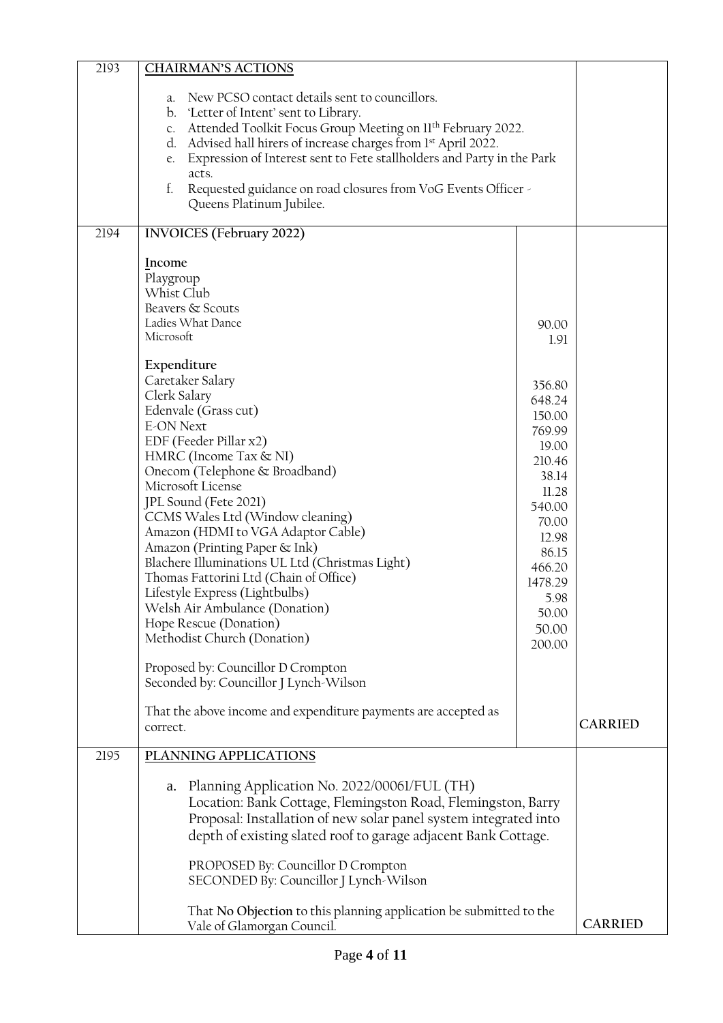| 2193 | <b>CHAIRMAN'S ACTIONS</b>                                                                             |                 |                |
|------|-------------------------------------------------------------------------------------------------------|-----------------|----------------|
|      | New PCSO contact details sent to councillors.<br>a.<br>'Letter of Intent' sent to Library.<br>$b_{-}$ |                 |                |
|      | Attended Toolkit Focus Group Meeting on Il <sup>th</sup> February 2022.<br>C <sub>1</sub>             |                 |                |
|      | d. Advised hall hirers of increase charges from 1st April 2022.                                       |                 |                |
|      | Expression of Interest sent to Fete stallholders and Party in the Park<br>e.                          |                 |                |
|      | acts.<br>f.<br>Requested guidance on road closures from VoG Events Officer -                          |                 |                |
|      | Queens Platinum Jubilee.                                                                              |                 |                |
| 2194 | <b>INVOICES</b> (February 2022)                                                                       |                 |                |
|      | Income                                                                                                |                 |                |
|      | Playgroup                                                                                             |                 |                |
|      | Whist Club                                                                                            |                 |                |
|      | Beavers & Scouts                                                                                      |                 |                |
|      | Ladies What Dance<br>Microsoft                                                                        | 90.00           |                |
|      |                                                                                                       | 1.91            |                |
|      | Expenditure                                                                                           |                 |                |
|      | Caretaker Salary                                                                                      | 356.80          |                |
|      | Clerk Salary                                                                                          | 648.24          |                |
|      | Edenvale (Grass cut)                                                                                  | 150.00          |                |
|      | <b>E-ON Next</b>                                                                                      | 769.99          |                |
|      | EDF (Feeder Pillar x2)                                                                                | 19.00           |                |
|      | HMRC (Income Tax & NI)<br>Onecom (Telephone & Broadband)                                              | 210.46          |                |
|      | Microsoft License                                                                                     | 38.14           |                |
|      | JPL Sound (Fete 2021)                                                                                 | 11.28           |                |
|      | CCMS Wales Ltd (Window cleaning)                                                                      | 540.00<br>70.00 |                |
|      | Amazon (HDMI to VGA Adaptor Cable)                                                                    | 12.98           |                |
|      | Amazon (Printing Paper & Ink)                                                                         | 86.15           |                |
|      | Blachere Illuminations UL Ltd (Christmas Light)                                                       | 466.20          |                |
|      | Thomas Fattorini Ltd (Chain of Office)                                                                | 1478.29         |                |
|      | Lifestyle Express (Lightbulbs)                                                                        | 5.98            |                |
|      | Welsh Air Ambulance (Donation)                                                                        | 50.00           |                |
|      | Hope Rescue (Donation)<br>Methodist Church (Donation)                                                 | 50.00           |                |
|      |                                                                                                       | 200.00          |                |
|      | Proposed by: Councillor D Crompton                                                                    |                 |                |
|      | Seconded by: Councillor J Lynch-Wilson                                                                |                 |                |
|      |                                                                                                       |                 |                |
|      | That the above income and expenditure payments are accepted as                                        |                 | <b>CARRIED</b> |
|      | correct.                                                                                              |                 |                |
| 2195 | PLANNING APPLICATIONS                                                                                 |                 |                |
|      | Planning Application No. 2022/00061/FUL (TH)<br>a.                                                    |                 |                |
|      | Location: Bank Cottage, Flemingston Road, Flemingston, Barry                                          |                 |                |
|      | Proposal: Installation of new solar panel system integrated into                                      |                 |                |
|      | depth of existing slated roof to garage adjacent Bank Cottage.                                        |                 |                |
|      |                                                                                                       |                 |                |
|      | PROPOSED By: Councillor D Crompton                                                                    |                 |                |
|      | SECONDED By: Councillor J Lynch-Wilson                                                                |                 |                |
|      | That No Objection to this planning application be submitted to the<br>Vale of Glamorgan Council.      |                 | <b>CARRIED</b> |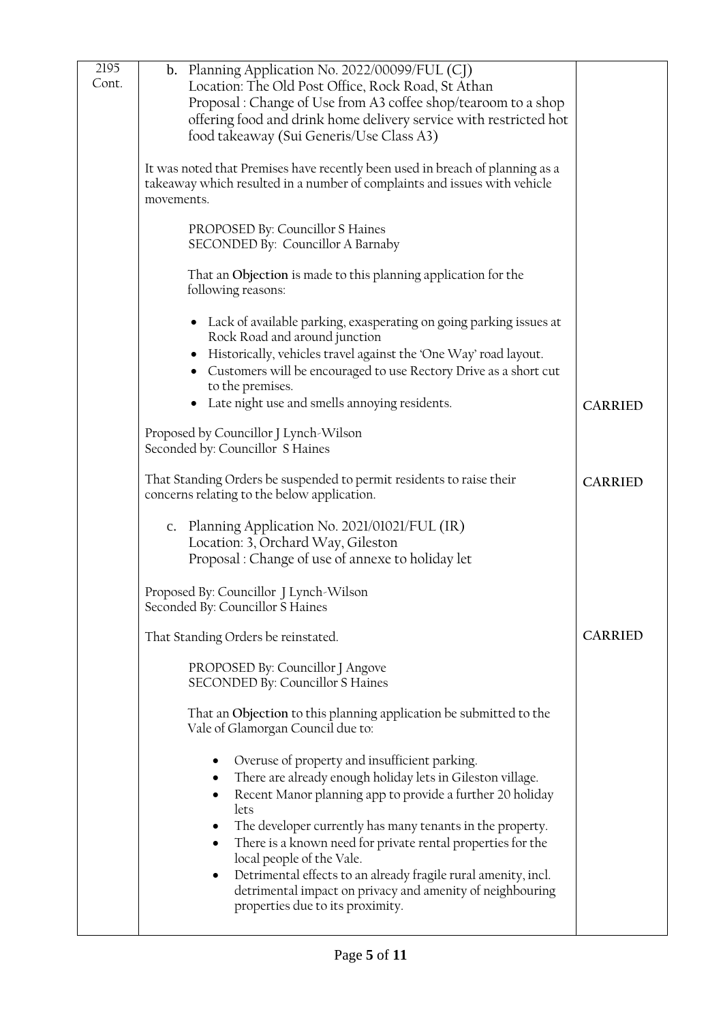| 2195<br>Cont. | b. Planning Application No. 2022/00099/FUL (CJ)<br>Location: The Old Post Office, Rock Road, St Athan<br>Proposal : Change of Use from A3 coffee shop/tearoom to a shop<br>offering food and drink home delivery service with restricted hot<br>food takeaway (Sui Generis/Use Class A3)                                                                                                                                                                                                                                       |                |
|---------------|--------------------------------------------------------------------------------------------------------------------------------------------------------------------------------------------------------------------------------------------------------------------------------------------------------------------------------------------------------------------------------------------------------------------------------------------------------------------------------------------------------------------------------|----------------|
|               | It was noted that Premises have recently been used in breach of planning as a<br>takeaway which resulted in a number of complaints and issues with vehicle<br>movements.                                                                                                                                                                                                                                                                                                                                                       |                |
|               | PROPOSED By: Councillor S Haines<br>SECONDED By: Councillor A Barnaby                                                                                                                                                                                                                                                                                                                                                                                                                                                          |                |
|               | That an Objection is made to this planning application for the<br>following reasons:                                                                                                                                                                                                                                                                                                                                                                                                                                           |                |
|               | • Lack of available parking, exasperating on going parking issues at<br>Rock Road and around junction<br>Historically, vehicles travel against the 'One Way' road layout.<br>• Customers will be encouraged to use Rectory Drive as a short cut<br>to the premises.                                                                                                                                                                                                                                                            |                |
|               | Late night use and smells annoying residents.                                                                                                                                                                                                                                                                                                                                                                                                                                                                                  | <b>CARRIED</b> |
|               | Proposed by Councillor J Lynch-Wilson<br>Seconded by: Councillor S Haines                                                                                                                                                                                                                                                                                                                                                                                                                                                      |                |
|               | That Standing Orders be suspended to permit residents to raise their<br>concerns relating to the below application.                                                                                                                                                                                                                                                                                                                                                                                                            | <b>CARRIED</b> |
|               | c. Planning Application No. 2021/01021/FUL (IR)<br>Location: 3, Orchard Way, Gileston<br>Proposal: Change of use of annexe to holiday let                                                                                                                                                                                                                                                                                                                                                                                      |                |
|               | Proposed By: Councillor J Lynch-Wilson<br>Seconded By: Councillor S Haines                                                                                                                                                                                                                                                                                                                                                                                                                                                     |                |
|               | That Standing Orders be reinstated.                                                                                                                                                                                                                                                                                                                                                                                                                                                                                            | <b>CARRIED</b> |
|               | PROPOSED By: Councillor J Angove<br>SECONDED By: Councillor S Haines                                                                                                                                                                                                                                                                                                                                                                                                                                                           |                |
|               | That an Objection to this planning application be submitted to the<br>Vale of Glamorgan Council due to:                                                                                                                                                                                                                                                                                                                                                                                                                        |                |
|               | Overuse of property and insufficient parking.<br>There are already enough holiday lets in Gileston village.<br>Recent Manor planning app to provide a further 20 holiday<br>$\bullet$<br>lets<br>The developer currently has many tenants in the property.<br>There is a known need for private rental properties for the<br>local people of the Vale.<br>Detrimental effects to an already fragile rural amenity, incl.<br>٠<br>detrimental impact on privacy and amenity of neighbouring<br>properties due to its proximity. |                |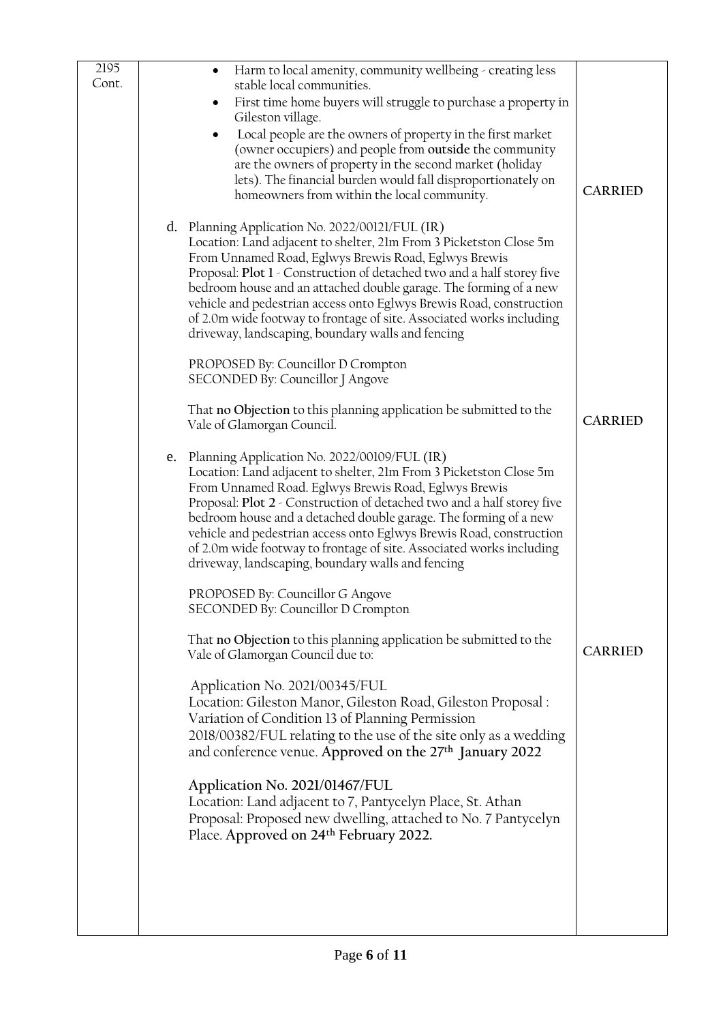| 2195<br>Cont. |    | Harm to local amenity, community wellbeing - creating less<br>$\bullet$<br>stable local communities.<br>First time home buyers will struggle to purchase a property in<br>$\bullet$<br>Gileston village.<br>Local people are the owners of property in the first market<br>$\bullet$<br>(owner occupiers) and people from outside the community<br>are the owners of property in the second market (holiday<br>lets). The financial burden would fall disproportionately on<br>homeowners from within the local community.       | <b>CARRIED</b> |
|---------------|----|----------------------------------------------------------------------------------------------------------------------------------------------------------------------------------------------------------------------------------------------------------------------------------------------------------------------------------------------------------------------------------------------------------------------------------------------------------------------------------------------------------------------------------|----------------|
|               |    | d. Planning Application No. 2022/00121/FUL (IR)<br>Location: Land adjacent to shelter, 21m From 3 Picketston Close 5m<br>From Unnamed Road, Eglwys Brewis Road, Eglwys Brewis<br>Proposal: Plot 1 - Construction of detached two and a half storey five<br>bedroom house and an attached double garage. The forming of a new<br>vehicle and pedestrian access onto Eglwys Brewis Road, construction<br>of 2.0m wide footway to frontage of site. Associated works including<br>driveway, landscaping, boundary walls and fencing |                |
|               |    | PROPOSED By: Councillor D Crompton<br>SECONDED By: Councillor J Angove                                                                                                                                                                                                                                                                                                                                                                                                                                                           |                |
|               |    | That no Objection to this planning application be submitted to the<br>Vale of Glamorgan Council.                                                                                                                                                                                                                                                                                                                                                                                                                                 | <b>CARRIED</b> |
|               | e. | Planning Application No. 2022/00109/FUL (IR)<br>Location: Land adjacent to shelter, 21m From 3 Picketston Close 5m<br>From Unnamed Road. Eglwys Brewis Road, Eglwys Brewis<br>Proposal: Plot 2 - Construction of detached two and a half storey five<br>bedroom house and a detached double garage. The forming of a new<br>vehicle and pedestrian access onto Eglwys Brewis Road, construction<br>of 2.0m wide footway to frontage of site. Associated works including<br>driveway, landscaping, boundary walls and fencing     |                |
|               |    | PROPOSED By: Councillor G Angove<br>SECONDED By: Councillor D Crompton                                                                                                                                                                                                                                                                                                                                                                                                                                                           |                |
|               |    | That no Objection to this planning application be submitted to the<br>Vale of Glamorgan Council due to:                                                                                                                                                                                                                                                                                                                                                                                                                          | <b>CARRIED</b> |
|               |    | Application No. 2021/00345/FUL<br>Location: Gileston Manor, Gileston Road, Gileston Proposal :<br>Variation of Condition 13 of Planning Permission<br>2018/00382/FUL relating to the use of the site only as a wedding<br>and conference venue. Approved on the 27 <sup>th</sup> January 2022                                                                                                                                                                                                                                    |                |
|               |    | Application No. 2021/01467/FUL<br>Location: Land adjacent to 7, Pantycelyn Place, St. Athan<br>Proposal: Proposed new dwelling, attached to No. 7 Pantycelyn<br>Place. Approved on 24 <sup>th</sup> February 2022.                                                                                                                                                                                                                                                                                                               |                |
|               |    |                                                                                                                                                                                                                                                                                                                                                                                                                                                                                                                                  |                |
|               |    |                                                                                                                                                                                                                                                                                                                                                                                                                                                                                                                                  |                |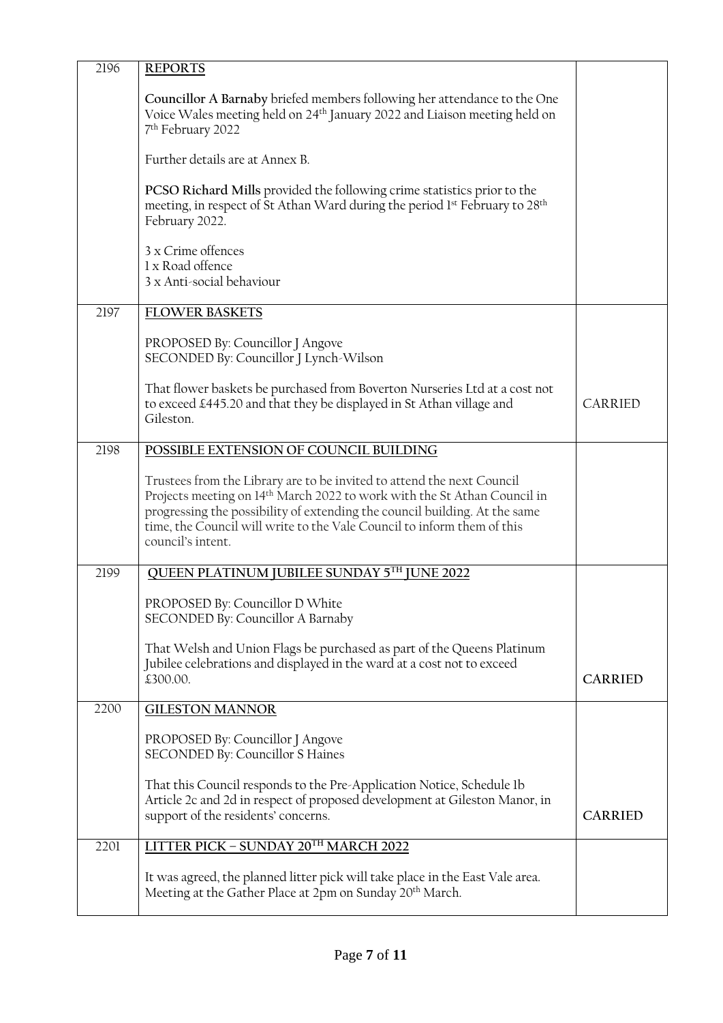| 2196 | <b>REPORTS</b>                                                                                                                                                                                                                                                                                                                               |                |
|------|----------------------------------------------------------------------------------------------------------------------------------------------------------------------------------------------------------------------------------------------------------------------------------------------------------------------------------------------|----------------|
|      | Councillor A Barnaby briefed members following her attendance to the One<br>Voice Wales meeting held on 24 <sup>th</sup> January 2022 and Liaison meeting held on<br>7 <sup>th</sup> February 2022                                                                                                                                           |                |
|      | Further details are at Annex B.                                                                                                                                                                                                                                                                                                              |                |
|      | PCSO Richard Mills provided the following crime statistics prior to the<br>meeting, in respect of St Athan Ward during the period 1 <sup>st</sup> February to 28 <sup>th</sup><br>February 2022.                                                                                                                                             |                |
|      | 3 x Crime offences<br>1 x Road offence<br>3 x Anti-social behaviour                                                                                                                                                                                                                                                                          |                |
| 2197 | <b>FLOWER BASKETS</b>                                                                                                                                                                                                                                                                                                                        |                |
|      | PROPOSED By: Councillor J Angove<br>SECONDED By: Councillor J Lynch-Wilson                                                                                                                                                                                                                                                                   |                |
|      | That flower baskets be purchased from Boverton Nurseries Ltd at a cost not<br>to exceed £445.20 and that they be displayed in St Athan village and<br>Gileston.                                                                                                                                                                              | <b>CARRIED</b> |
| 2198 | POSSIBLE EXTENSION OF COUNCIL BUILDING                                                                                                                                                                                                                                                                                                       |                |
|      | Trustees from the Library are to be invited to attend the next Council<br>Projects meeting on 14 <sup>th</sup> March 2022 to work with the St Athan Council in<br>progressing the possibility of extending the council building. At the same<br>time, the Council will write to the Vale Council to inform them of this<br>council's intent. |                |
| 2199 | QUEEN PLATINUM JUBILEE SUNDAY 5TH JUNE 2022                                                                                                                                                                                                                                                                                                  |                |
|      | PROPOSED By: Councillor D White<br>SECONDED By: Councillor A Barnaby                                                                                                                                                                                                                                                                         |                |
|      | That Welsh and Union Flags be purchased as part of the Queens Platinum<br>Jubilee celebrations and displayed in the ward at a cost not to exceed<br>£300.00.                                                                                                                                                                                 | <b>CARRIED</b> |
| 2200 | <b>GILESTON MANNOR</b>                                                                                                                                                                                                                                                                                                                       |                |
|      | PROPOSED By: Councillor J Angove<br>SECONDED By: Councillor S Haines                                                                                                                                                                                                                                                                         |                |
|      | That this Council responds to the Pre-Application Notice, Schedule 1b<br>Article 2c and 2d in respect of proposed development at Gileston Manor, in<br>support of the residents' concerns.                                                                                                                                                   | <b>CARRIED</b> |
| 2201 | LITTER PICK - SUNDAY 20TH MARCH 2022                                                                                                                                                                                                                                                                                                         |                |
|      | It was agreed, the planned litter pick will take place in the East Vale area.<br>Meeting at the Gather Place at 2pm on Sunday 20 <sup>th</sup> March.                                                                                                                                                                                        |                |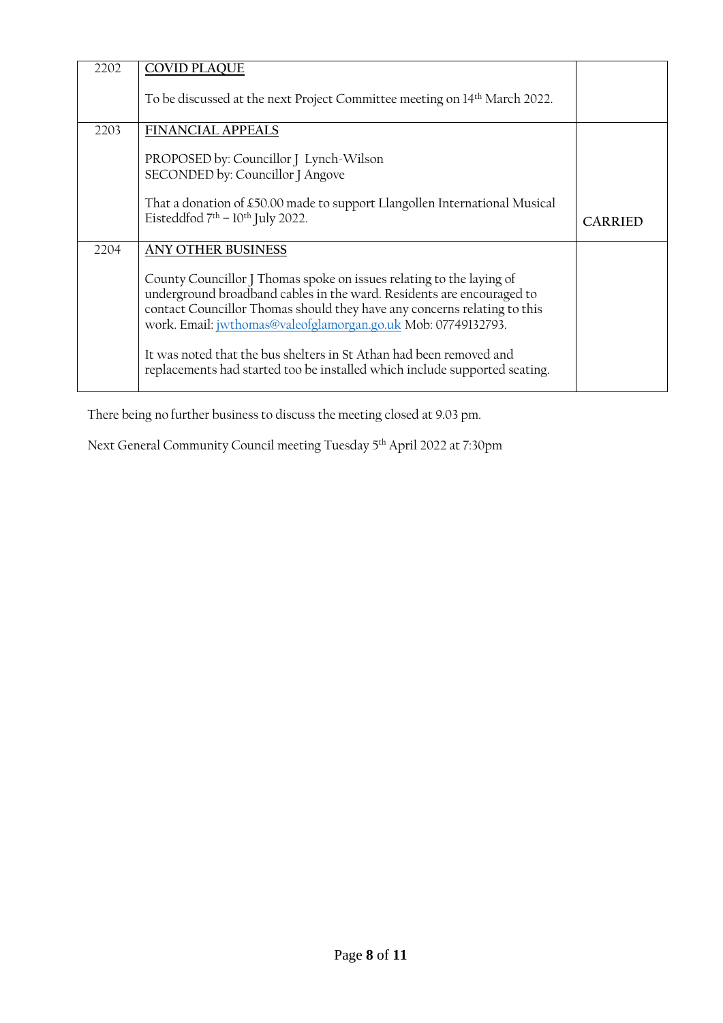| 2202 | <b>COVID PLAQUE</b><br>To be discussed at the next Project Committee meeting on 14 <sup>th</sup> March 2022.                                                                                                                                                                                                                                                                                                                                                                 |                |
|------|------------------------------------------------------------------------------------------------------------------------------------------------------------------------------------------------------------------------------------------------------------------------------------------------------------------------------------------------------------------------------------------------------------------------------------------------------------------------------|----------------|
| 2203 | <b>FINANCIAL APPEALS</b><br>PROPOSED by: Councillor J Lynch-Wilson<br>SECONDED by: Councillor J Angove<br>That a donation of £50.00 made to support Llangollen International Musical<br>Eisteddfod $7th - 10th$ July 2022.                                                                                                                                                                                                                                                   | <b>CARRIED</b> |
| 2204 | <b>ANY OTHER BUSINESS</b><br>County Councillor J Thomas spoke on issues relating to the laying of<br>underground broadband cables in the ward. Residents are encouraged to<br>contact Councillor Thomas should they have any concerns relating to this<br>work. Email: jwthomas@valeofglamorgan.go.uk Mob: 07749132793.<br>It was noted that the bus shelters in St Athan had been removed and<br>replacements had started too be installed which include supported seating. |                |

There being no further business to discuss the meeting closed at 9.03 pm.

Next General Community Council meeting Tuesday 5 th April 2022 at 7:30pm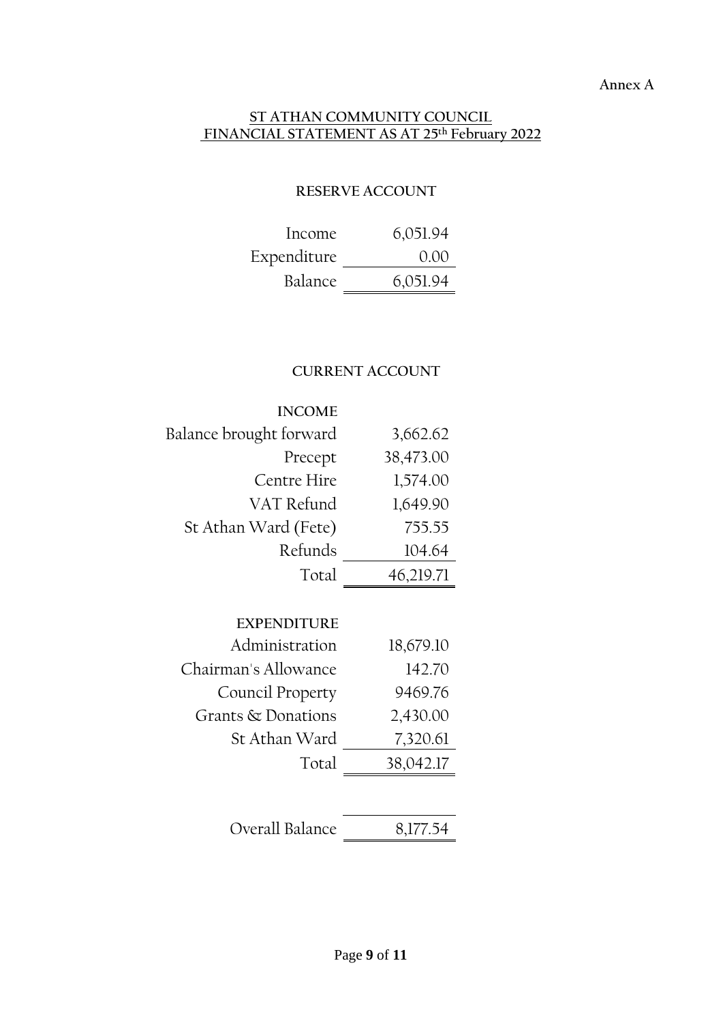#### **Annex A**

#### **ST ATHAN COMMUNITY COUNCIL FINANCIAL STATEMENT AS AT 25 th February 2022**

### **RESERVE ACCOUNT**

| Income      | 6,051.94 |
|-------------|----------|
| Expenditure | 0.00     |
| Balance     | 6,051.94 |

# **CURRENT ACCOUNT**

| <b>INCOME</b>           |           |
|-------------------------|-----------|
| Balance brought forward | 3,662.62  |
| Precept                 | 38,473.00 |
| Centre Hire             | 1,574.00  |
| VAT Refund              | 1,649.90  |
| St Athan Ward (Fete)    | 755.55    |
| Refunds                 | 104.64    |
| Total                   | 46,219.71 |

| <b>EXPENDITURE</b>   |           |
|----------------------|-----------|
| Administration       | 18,679.10 |
| Chairman's Allowance | 142.70    |
| Council Property     | 9469.76   |
| Grants & Donations   | 2,430.00  |
| St Athan Ward        | 7,320.61  |
| Total                | 38,042.17 |
|                      |           |
|                      |           |

| Overall Balance | 8,177.54 |
|-----------------|----------|
|                 |          |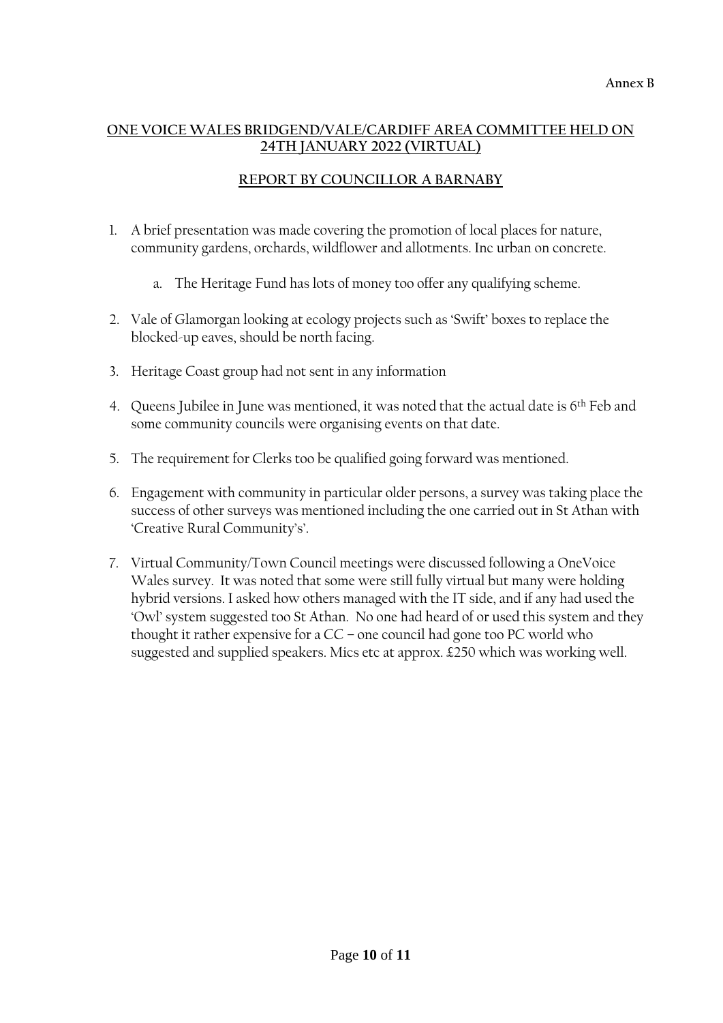## **ONE VOICE WALES BRIDGEND/VALE/CARDIFF AREA COMMITTEE HELD ON 24TH JANUARY 2022 (VIRTUAL)**

## **REPORT BY COUNCILLOR A BARNABY**

- 1. A brief presentation was made covering the promotion of local places for nature, community gardens, orchards, wildflower and allotments. Inc urban on concrete.
	- a. The Heritage Fund has lots of money too offer any qualifying scheme.
- 2. Vale of Glamorgan looking at ecology projects such as 'Swift' boxes to replace the blocked-up eaves, should be north facing.
- 3. Heritage Coast group had not sent in any information
- 4. Queens Jubilee in June was mentioned, it was noted that the actual date is 6th Feb and some community councils were organising events on that date.
- 5. The requirement for Clerks too be qualified going forward was mentioned.
- 6. Engagement with community in particular older persons, a survey was taking place the success of other surveys was mentioned including the one carried out in St Athan with 'Creative Rural Community's'.
- 7. Virtual Community/Town Council meetings were discussed following a OneVoice Wales survey. It was noted that some were still fully virtual but many were holding hybrid versions. I asked how others managed with the IT side, and if any had used the 'Owl' system suggested too St Athan. No one had heard of or used this system and they thought it rather expensive for a CC – one council had gone too PC world who suggested and supplied speakers. Mics etc at approx. £250 which was working well.